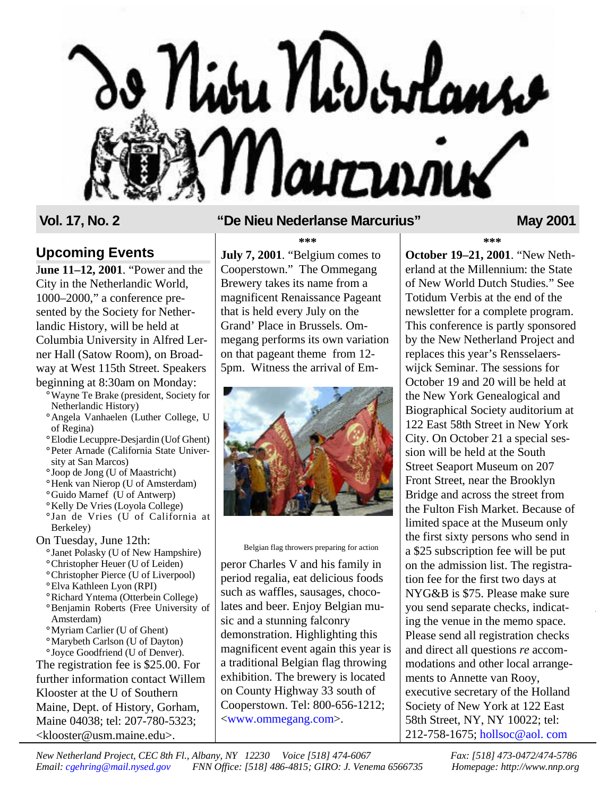

### **Upcoming Events**

J**une 11–12, 2001**. "Power and the City in the Netherlandic World, 1000–2000," a conference presented by the Society for Netherlandic History, will be held at Columbia University in Alfred Lerner Hall (Satow Room), on Broadway at West 115th Street. Speakers beginning at 8:30am on Monday:

- **°**Wayne Te Brake (president, Society for Netherlandic History)
- **°**Angela Vanhaelen (Luther College, U of Regina)
- **°**Elodie Lecuppre-Desjardin (Uof Ghent) **°**Peter Arnade (California State Univer-
- sity at San Marcos)
- **°** Joop de Jong (U of Maastricht)
- **°**Henk van Nierop (U of Amsterdam)
- **°**Guido Marnef (U of Antwerp)
- **°**Kelly De Vries (Loyola College) **°** Jan de Vries (U of California at Berkeley)
- On Tuesday, June 12th:
	- **°** Janet Polasky (U of New Hampshire)
	- **°**Christopher Heuer (U of Leiden)
	- **°**Christopher Pierce (U of Liverpool)
	- **°**Elva Kathleen Lyon (RPI)
	- **°**Richard Yntema (Otterbein College)
	- **°**Benjamin Roberts (Free University of Amsterdam)
	- **°**Myriam Carlier (U of Ghent)
	- **°**Marybeth Carlson (U of Dayton) **°** Joyce Goodfriend (U of Denver).

The registration fee is \$25.00. For further information contact Willem Klooster at the U of Southern Maine, Dept. of History, Gorham, Maine 04038; tel: 207-780-5323; <klooster@usm.maine.edu>.

## Vol. 17, No. 2 **The Nieu Nederlanse Marcurius"** May 2001

**\*\*\***

**July 7, 2001**. "Belgium comes to Cooperstown." The Ommegang Brewery takes its name from a magnificent Renaissance Pageant that is held every July on the Grand' Place in Brussels. Ommegang performs its own variation on that pageant theme from 12- 5pm. Witness the arrival of Em-



Belgian flag throwers preparing for action

peror Charles V and his family in period regalia, eat delicious foods such as waffles, sausages, chocolates and beer. Enjoy Belgian music and a stunning falconry demonstration. Highlighting this magnificent event again this year is a traditional Belgian flag throwing exhibition. The brewery is located on County Highway 33 south of Cooperstown. Tel: 800-656-1212; [<www.ommegang.com>](http://ommegang.com).

**\*\*\***

**October 19–21, 2001**. "New Netherland at the Millennium: the State of New World Dutch Studies." See Totidum Verbis at the end of the newsletter for a complete program. This conference is partly sponsored by the New Netherland Project and replaces this year's Rensselaerswijck Seminar. The sessions for October 19 and 20 will be held at the New York Genealogical and Biographical Society auditorium at 122 East 58th Street in New York City. On October 21 a special session will be held at the South Street Seaport Museum on 207 Front Street, near the Brooklyn Bridge and across the street from the Fulton Fish Market. Because of limited space at the Museum only the first sixty persons who send in a \$25 subscription fee will be put on the admission list. The registration fee for the first two days at NYG&B is \$75. Please make sure you send separate checks, indicating the venue in the memo space. Please send all registration checks and direct all questions *re* accommodations and other local arrangements to Annette van Rooy, executive secretary of the Holland Society of New York at 122 East 58th Street, NY, NY 10022; tel: 212-758-1675; [hollsoc@aol.](mailto:hollsoc@aol.com) com

*New Netherland Project, CEC 8th Fl., Albany, NY 12230 Voice [518] 474-6067 Fax: [518] 473-0472/474-5786 Email: [cgehring@mail.nysed.gov](mailto:cgehring@mail.nysed.gov) FNN Office: [518] 486-4815; GIRO: J. Venema 6566735 Homepage: http://www.nnp.org*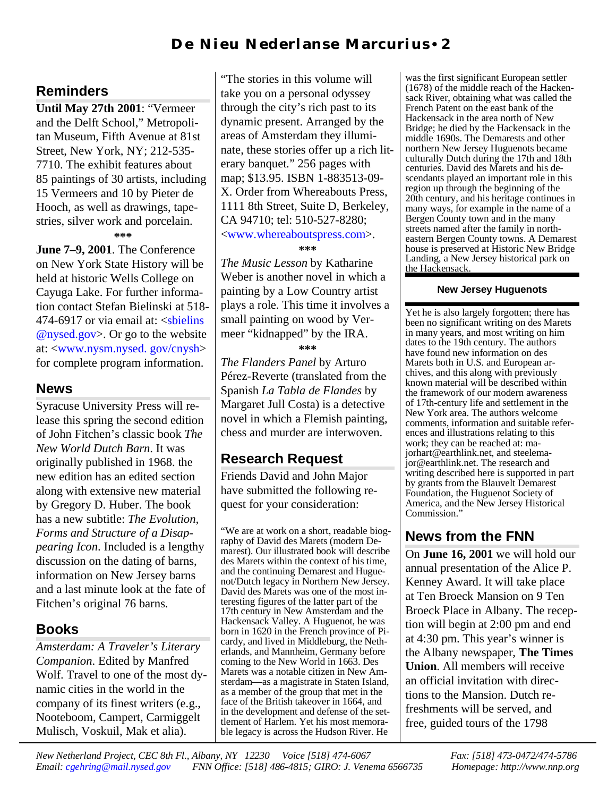## **Reminders**

**Until May 27th 2001**: "Vermeer and the Delft School," Metropolitan Museum, Fifth Avenue at 81st Street, New York, NY; 212-535- 7710. The exhibit features about 85 paintings of 30 artists, including 15 Vermeers and 10 by Pieter de Hooch, as well as drawings, tapestries, silver work and porcelain.

**\*\*\***

**June 7–9, 2001**. The Conference on New York State History will be held at historic Wells College on Cayuga Lake. For further information contact Stefan Bielinski at 518- 474-6917 or via email at: <s bielins [@nysed.gov>](mailto:sbielins@nysed.gov). Or go to the website at: [<www.nysm.nysed.](http://www.nysm.nysed.gov/cnysh) gov/cnysh> for complete program information.

## **News**

Syracuse University Press will release this spring the second edition of John Fitchen's classic book *The New World Dutch Barn*. It was originally published in 1968. the new edition has an edited section along with extensive new material by Gregory D. Huber. The book has a new subtitle: *The Evolution, Forms and Structure of a Disappearing Icon*. Included is a lengthy discussion on the dating of barns, information on New Jersey barns and a last minute look at the fate of Fitchen's original 76 barns.

## **Books**

*Amsterdam: A Traveler's Literary Companion*. Edited by Manfred Wolf. Travel to one of the most dynamic cities in the world in the company of its finest writers (e.g., Nooteboom, Campert, Carmiggelt Mulisch, Voskuil, Mak et alia).

"The stories in this volume will take you on a personal odyssey through the city's rich past to its dynamic present. Arranged by the areas of Amsterdam they illuminate, these stories offer up a rich literary banquet." 256 pages with map; \$13.95. ISBN 1-883513-09- X. Order from Whereabouts Press, 1111 8th Street, Suite D, Berkeley, CA 94710; tel: 510-527-8280; <[www.whereaboutspress.com>](http://www.whereaboutspress.com). **\*\*\***

*The Music Lesson* by Katharine Weber is another novel in which a painting by a Low Country artist plays a role. This time it involves a small painting on wood by Vermeer "kidnapped" by the IRA. **\*\*\***

*The Flanders Panel* by Arturo Pérez-Reverte (translated from the Spanish *La Tabla de Flandes* by Margaret Jull Costa) is a detective novel in which a Flemish painting, chess and murder are interwoven.

# **Research Request**

Friends David and John Major have submitted the following request for your consideration:

"We are at work on a short, readable biography of David des Marets (modern Demarest). Our illustrated book will describe des Marets within the context of his time, and the continuing Demarest and Huguenot/Dutch legacy in Northern New Jersey. David des Marets was one of the most interesting figures of the latter part of the 17th century in New Amsterdam and the Hackensack Valley. A Huguenot, he was born in 1620 in the French province of Picardy, and lived in Middleburg, the Netherlands, and Mannheim, Germany before coming to the New World in 1663. Des Marets was a notable citizen in New Amsterdam—as a magistrate in Staten Island, as a member of the group that met in the face of the British takeover in 1664, and in the development and defense of the settlement of Harlem. Yet his most memorable legacy is across the Hudson River. He

was the first significant European settler  $(1678)$  of the middle reach of the Hackensack River, obtaining what was called the French Patent on the east bank of the Hackensack in the area north of New Bridge; he died by the Hackensack in the middle 1690s. The Demarests and other northern New Jersey Huguenots became culturally Dutch during the 17th and 18th centuries. David des Marets and his descendants played an important role in this region up through the beginning of the 20th century, and his heritage continues in many ways, for example in the name of a Bergen County town and in the many streets named after the family in northeastern Bergen County towns. A Demarest house is preserved at Historic New Bridge Landing, a New Jersey historical park on the Hackensack.

### **New Jersey Huguenots**

Yet he is also largely forgotten; there has been no significant writing on des Marets in many years, and most writing on him dates to the 19th century. The authors have found new information on des Marets both in U.S. and European archives, and this along with previously known material will be described within the framework of our modern awareness of 17th-century life and settlement in the New York area. The authors welcome comments, information and suitable references and illustrations relating to this work; they can be reached at: majorhart@earthlink.net, and steelemajor@earthlink.net. The research and writing described here is supported in part by grants from the Blauvelt Demarest Foundation, the Huguenot Society of America, and the New Jersey Historical Commission."

# **News from the FNN**

On **June 16, 2001** we will hold our annual presentation of the Alice P. Kenney Award. It will take place at Ten Broeck Mansion on 9 Ten Broeck Place in Albany. The reception will begin at 2:00 pm and end at 4:30 pm. This year's winner is the Albany newspaper, **The Times Union**. All members will receive an official invitation with directions to the Mansion. Dutch refreshments will be served, and free, guided tours of the 1798

*New Netherland Project, CEC 8th Fl., Albany, NY 12230 Voice [518] 474-6067 Fax: [518] 473-0472/474-5786 Email: [cgehring@mail.nysed.gov](mailto:cgehring@mail.nysed.gov) FNN Office: [518] 486-4815; GIRO: J. Venema 6566735 Homepage: http://www.nnp.org*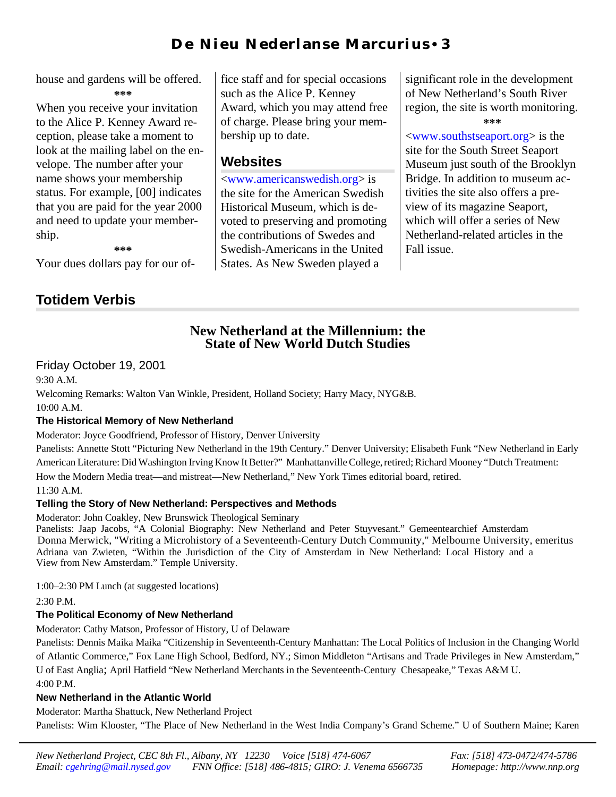## D e N i eu N eder l an s e M ar curius • 3

house and gardens will be offered. **\*\*\***

When you receive your invitation to the Alice P. Kenney Award reception, please take a moment to look at the mailing label on the envelope. The number after your name shows your membership status. For example, [00] indicates that you are paid for the year 2000 and need to update your membership.

fice staff and for special occasions such as the Alice P. Kenney Award, which you may attend free of charge. Please bring your membership up to date.

## **Websites**

[<www.americanswedish.org>](http://www.americanswedish.org) is the site for the American Swedish Historical Museum, which is devoted to preserving and promoting the contributions of Swedes and Swedish-Americans in the United States. As New Sweden played a

significant role in the development of New Netherland's South River region, the site is worth monitoring. **\*\*\***

<[www.southstseaport.org>](htp://www.southstseaport.org) is the site for the South Street Seaport Museum just south of the Brooklyn Bridge. In addition to museum activities the site also offers a preview of its magazine Seaport, which will offer a series of New Netherland-related articles in the Fall issue.

**\*\*\***

Your dues dollars pay for our of-

# **Totidem Verbis**

### **New Netherland at the Millennium: the State of New World Dutch Studies**

### Friday October 19, 2001

9:30 A.M.

Welcoming Remarks: Walton Van Winkle, President, Holland Society; Harry Macy, NYG&B.  $10:00 A M$ 

### **The Historical Memory of New Netherland**

Moderator: Joyce Goodfriend, Professor of History, Denver University

Panelists: Annette Stott "Picturing New Netherland in the 19th Century." Denver University; Elisabeth Funk "New Netherland in Early American Literature: Did Washington Irving Know It Better?" Manhattanville College, retired; Richard Mooney "Dutch Treatment:

How the Modern Media treat—and mistreat—New Netherland," New York Times editorial board, retired.

11:30 A.M.

### **Telling the Story of New Netherland: Perspectives and Methods**

Moderator: John Coakley, New Brunswick Theological Seminary

Adriana van Zwieten, "Within the Jurisdiction of the City of Amsterdam in New Netherland: Local History and a View from New Amsterdam." Temple University. Panelists: Jaap Jacobs, "A Colonial Biography: New Netherland and Peter Stuyvesant." Gemeentearchief Amsterdam Donna Merwick, "Writing a Microhistory of a Seventeenth-Century Dutch Community," Melbourne University, emeritus

1:00–2:30 PM Lunch (at suggested locations)

 $2:30 P.M.$ 

### **The Political Economy of New Netherland**

Moderator: Cathy Matson, Professor of History, U of Delaware

Panelists: Dennis Maika Maika "Citizenship in Seventeenth-Century Manhattan: The Local Politics of Inclusion in the Changing World of Atlantic Commerce," Fox Lane High School, Bedford, NY.; Simon Middleton "Artisans and Trade Privileges in New Amsterdam," U of East Anglia; April Hatfield "New Netherland Merchants in the Seventeenth-Century Chesapeake," Texas A&M U. 4:00 P.M.

### **New Netherland in the Atlantic World**

Moderator: Martha Shattuck, New Netherland Project

Panelists: Wim Klooster, "The Place of New Netherland in the West India Company's Grand Scheme." U of Southern Maine; Karen